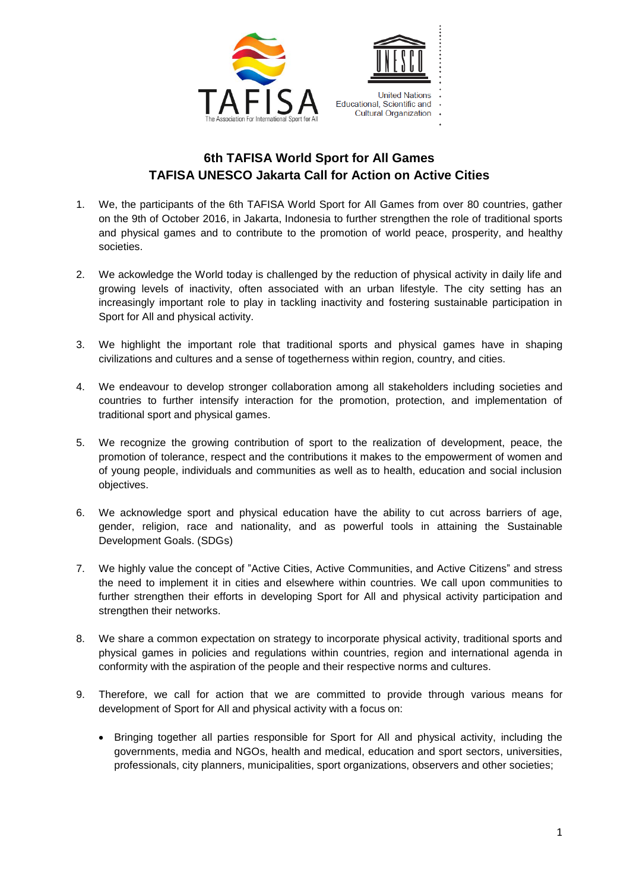

## **6th TAFISA World Sport for All Games TAFISA UNESCO Jakarta Call for Action on Active Cities**

- 1. We, the participants of the 6th TAFISA World Sport for All Games from over 80 countries, gather on the 9th of October 2016, in Jakarta, Indonesia to further strengthen the role of traditional sports and physical games and to contribute to the promotion of world peace, prosperity, and healthy societies.
- 2. We ackowledge the World today is challenged by the reduction of physical activity in daily life and growing levels of inactivity, often associated with an urban lifestyle. The city setting has an increasingly important role to play in tackling inactivity and fostering sustainable participation in Sport for All and physical activity.
- 3. We highlight the important role that traditional sports and physical games have in shaping civilizations and cultures and a sense of togetherness within region, country, and cities.
- 4. We endeavour to develop stronger collaboration among all stakeholders including societies and countries to further intensify interaction for the promotion, protection, and implementation of traditional sport and physical games.
- 5. We recognize the growing contribution of sport to the realization of development, peace, the promotion of tolerance, respect and the contributions it makes to the empowerment of women and of young people, individuals and communities as well as to health, education and social inclusion objectives.
- 6. We acknowledge sport and physical education have the ability to cut across barriers of age, gender, religion, race and nationality, and as powerful tools in attaining the Sustainable Development Goals. (SDGs)
- 7. We highly value the concept of "Active Cities, Active Communities, and Active Citizens" and stress the need to implement it in cities and elsewhere within countries. We call upon communities to further strengthen their efforts in developing Sport for All and physical activity participation and strengthen their networks.
- 8. We share a common expectation on strategy to incorporate physical activity, traditional sports and physical games in policies and regulations within countries, region and international agenda in conformity with the aspiration of the people and their respective norms and cultures.
- 9. Therefore, we call for action that we are committed to provide through various means for development of Sport for All and physical activity with a focus on:
	- Bringing together all parties responsible for Sport for All and physical activity, including the governments, media and NGOs, health and medical, education and sport sectors, universities, professionals, city planners, municipalities, sport organizations, observers and other societies;